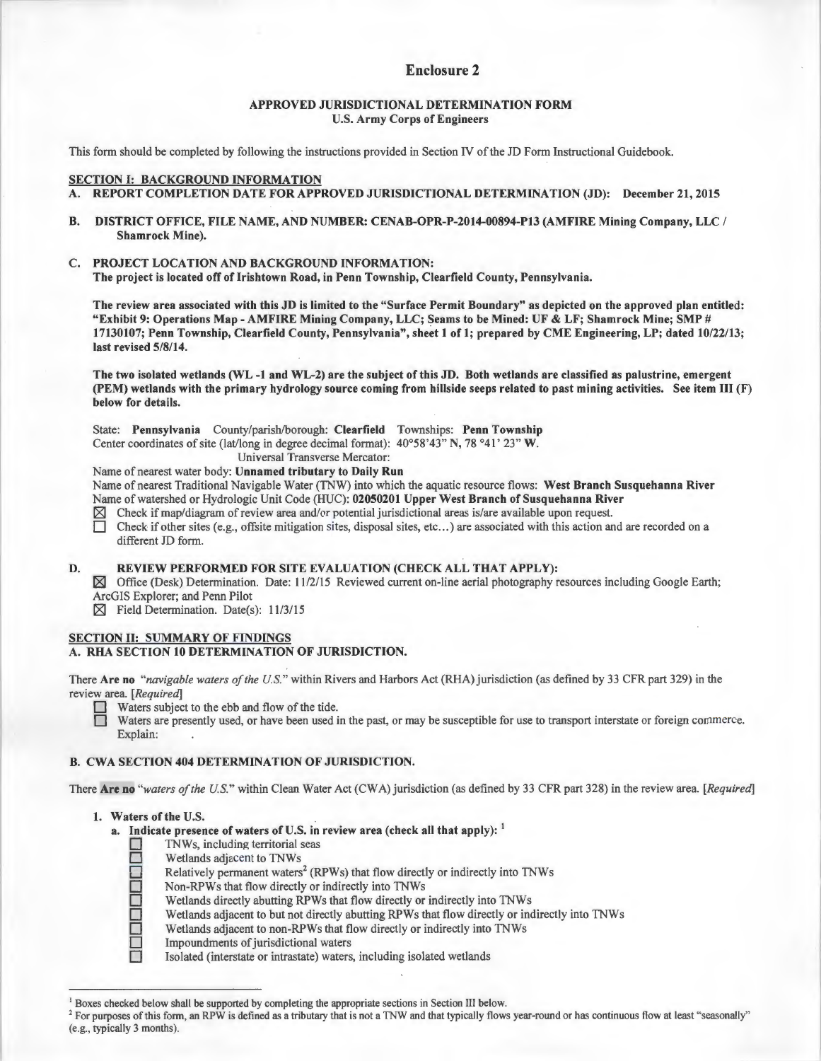# Enclosure 2

# APPROVED JURISDICTIONAL DETERMINATION FORM U.S. Army Corps of Engineers

This form should be completed by following the instructions provided in Section IV of the JD Form Instructional Guidebook.

# SECTION I: BACKGROUND INFORMATION

- A. REPORT COMPLETION DATE FOR APPROVED JURISDICTIONAL DETERMINATION (JD): December 21, 2015
- B. DISTRICT OFFICE, FILE NAME, AND NUMBER: CENAB-OPR-P-2014-00894-P13 (AMFIRE Mining Company, LLC / Shamrock Mine).
- C. PROJECT LOCATION AND BACKGROUND INFORMATION:

The project is located off of Irishtown Road, in Penn Township, Clearfield County, Pennsylvania.

The review area associated with this JD is limited to the "Surface Permit Boundary" as depicted on the approved plan entitled: "Exhibit 9: Operations Map - AMFIRE Mining Company, LLC; Seams to be Mined: UF & LF; Shamrock Mine; SMP # 17130107; Penn Township, Clearfield County, Pennsylvania", sheet 1 of 1; prepared by CME Engineering, LP; dated 10/22/13; last revised 5/8/14.

The two isolated wetlands (WL -1 and WL-2) are the subject of this JD. Both wetlands are classified as palustrine, emergent (PEM) wetlands with the primary hydrology source coming from hillside seeps related to past mining activities. See item III (F) below for details.

State: Pennsylvania County/parish/borough: Clearfield Townships: Penn Township Center coordinates of site (lat/long in degree decimal format): 40°58'43" N, 78 °41' 23" W.

Universal Transverse Mercator:

Name of nearest water body: Unnamed tributary to Daily Run

Name of nearest Traditional Navigable Water (TNW) into which the aquatic resource flows: West Branch Susquehanna River Name of watershed or Hydrologic Unit Code (HUC): 02050201 Upper West Branch of Susquehanna River

- $\boxtimes$  Check if map/diagram of review area and/or potential jurisdictional areas is/are available upon request.
- $\Box$  Check if other sites (e.g., offsite mitigation sites, disposal sites, etc...) are associated with this action and are recorded on a different JD form.

## D. REVIEW PERFORMED FOR SITE EVALUATION (CHECK ALL THAT APPLY):

 $\boxtimes$  Office (Desk) Determination. Date: 11/2/15 Reviewed current on-line aerial photography resources including Google Earth; ArcGIS Explorer; and Penn Pilot

 $\boxtimes$  Field Determination. Date(s): 11/3/15

## SECTION II: SUMMARY OF FINDINGS A. RHA SECTION 10 DETERMINATION OF JURISDICTION.

There Are no *"navigable waters of the U.S."* within Rivers and Harbors Act (RHA) jurisdiction (as defined by 33 CFR part 329) in the review area. *[Required]* 

Waters subject to the ebb and flow of the tide.

Waters are presently used, or have been used in the past, or may be susceptible for use to transport interstate or foreign commerce. Explain:

# B. CWA SECTION 404 DETERMINATION OF JURISDICTION.

There Are no *"waters of the U.S."* within Clean Water Act (CWA) jurisdiction (as defined by 33 CFR part 328) in the review area. *[Required]* 

### 1. Waters of the U.S.

- a. Indicate presence of waters of U.S. in review area (check all that apply):  $\frac{1}{2}$  TNWs, including territorial seas<br>Wetlands adjacent to TNWs
	- TNWs, including territorial seas
	- Wetlands adjacent to TNWs
	- Relatively permanent waters<sup>2</sup> (RPWs) that flow directly or indirectly into TNWs
	- Non-RPWs that flow directly or indirectly into TNWs
		- Wetlands directly abutting RPWs that flow directly or indirectly into TNWs
		- Wetlands adjacent to but not directly abutting RPWs that flow directly or indirectly into TNWs
		- Wetlands adjacent to non-RPWs that flow directly or indirectly into TNWs
	- Impoundments of jurisdictional waters

Isolated (interstate or intrastate) waters, including isolated wetlands

<sup>&</sup>lt;sup>1</sup> Boxes checked below shall be supported by completing the appropriate sections in Section III below.<br><sup>2</sup> For purposes of this form, an RPW is defined as a tributary that is not a TNW and that typically flows year-round (e.g., typically 3 months).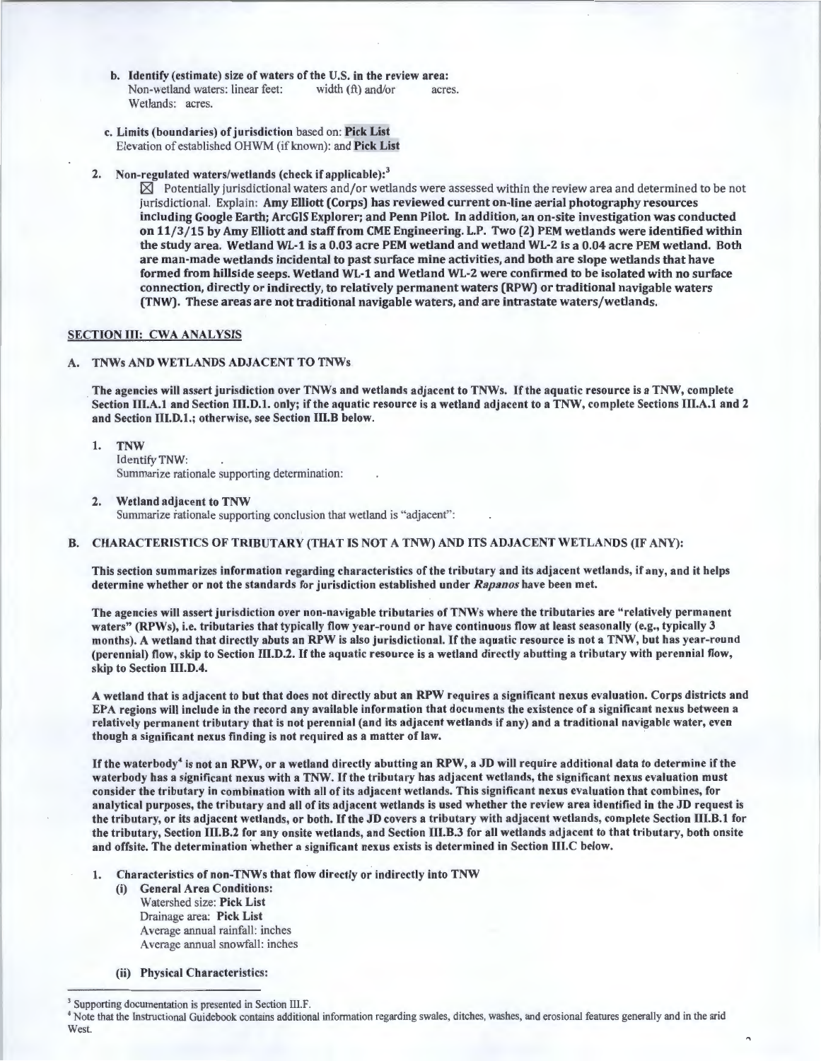- b. Identify (estimate) size of waters of the U.S. in the review area:<br>Non-wetland waters: linear feet: width  $(ft)$  and/or acre Non-wetland waters: linear feet: width (ft) and/or acres. Wetlands: acres.
- c. Limits (boundaries) of jurisdiction based on: Pick List Elevation of established OHWM (if known): and Pick List
- 2. Non-regulated waters/wetlands (check if applicable):<sup>3</sup>

 $\boxtimes$  Potentially jurisdictional waters and/or wetlands were assessed within the review area and determined to be not jurisdictional. Explain: Amy Elliott (Corps) has reviewed current on-line aerial photography resources including Google Earth; ArcGIS Explorer; and Penn Pilot. In addition, an on-site investigation was conducted on 11/3 /15 by Amy Elliott and staff from CME Engineering. L.P. Two (2) PEM wetlands were identified within the study area. Wetland WL-1 is a 0.03 acre PEM wetland and wetland WL-2 is a 0.04 acre PEM wetland. Both are man-made wetlands incidental to past surface mine activities, and both are slope wetlands that have formed from hillside seeps. Wetland WL-1 and Wetland WL-2 were confirmed to be isolated with no surface connection, directly or indirectly, to relatively permanent waters (RPW) or traditional navigable waters (TNW). These areas are not traditional navigable waters, and are intrastate waters/wetlands.

### SECTION III: CWA ANALYSIS

# A. TNWs AND WETLANDS ADJACENT TO TNWs

The agencies will assert jurisdiction over TNWs and wetlands adjacent to TNWs. If the aquatic resource is a TNW, complete Section III.A.1 and Section III.D.1. only; if the aquatic resource is a wetland adjacent to a TNW, complete Sections III.A.1 and 2 and Section 111.D.l.; otherwise, see Section 111.B below.

- I. TNW Identify TNW: Summarize rationale supporting determination:
- 2. Wetland adjacent to TNW Summarize rationale supporting conclusion that wetland is "adjacent":

### B. CHARACTERISTICS OF TRIBUTARY (THAT IS NOT A TNW) AND ITS ADJACENT WETLANDS (IF ANY):

This section summarizes information regarding characteristics of the tributary and its adjacent wetlands, if any, and it helps determine whether or not the standards for jurisdiction established under *Rapanos* have been met.

The agencies will assert jurisdiction over non-navigable tributaries of TNWs where the tributaries are " relatively permanent waters" (RPWs), i.e. tributaries that typically flow year-round or have continuous flow at least seasonally (e.g., typically 3 months). A wetland that directly abuts an RPW is also jurisdictional. If the aquatic resource is not a TNW, but has year-round (perennial) flow, skip to Section 111.D.2. If the aquatic resource is a wetland directly abutting a tributary with perennial flow, skip to Section III.D.4.

A wetland that is adjacent to but that does not directly abut an RPW requires a significant nexus evaluation. Corps districts and EPA regions will include in the record any available information that documents the existence of a significant nexus between a relatively permanent tributary that is not perennial (and its adjacent wetlands if any) and a traditional navigable water, even though a significant nexus finding is not required as a matter of law. ·

If the waterbody<sup>4</sup> is not an RPW, or a wetland directly abutting an RPW, a JD will require additional data to determine if the waterbody has a significant nexus with a TNW. If the tributary has adjacent wetlands, the significant nexus evaluation must consider the tributary in combination with all of its adjacent wetlands. This significant nexus evaluation that combines, for analytical purposes, the tributary and all of its adjacent wetlands is used whether the review area identified in the JD request is the tributary, or its adjacent wetlands, or both. If the JD covers a tributary with adjacent wetlands, complete Section 111.B.1 for the tributary, Section 111.B.2 for any onsite wetlands, and Section 111.B.3 for all wetlands adjacent to that tributary, both onsite and offsite. The determination whether a significant nexus exists is determined in Section 111.C below.

- 1. Characteristics of non-TNWs that flow directly or indirectly into TNW
	- (i) General Area Conditions: Watershed size: Pick List Drainage area: Pick List Average annual rainfall: inches Average annual snowfall: inches
	- (ii) Physical Characteristics:

<sup>&</sup>lt;sup>3</sup> Supporting documentation is presented in Section III.F.<br><sup>4</sup> Note that the Instructional Guidebook contains additional information regarding swales, ditches, washes, and erosional features generally and in the arid West.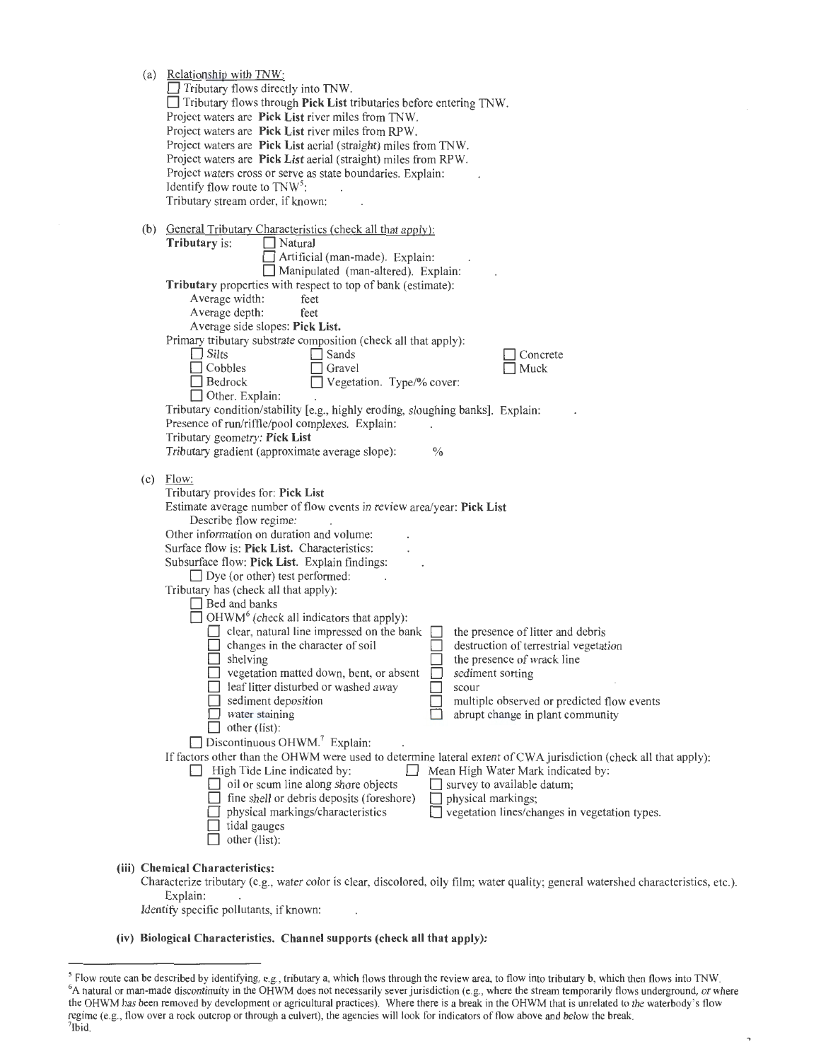|     | (a) Relationship with TNW:<br>Tributary flows directly into TNW.<br>$\Box$ Tributary flows through Pick List tributaries before entering TNW.<br>Project waters are Pick List river miles from TNW.<br>Project waters are Pick List river miles from RPW.<br>Project waters are Pick List aerial (straight) miles from TNW.<br>Project waters are Pick List aerial (straight) miles from RPW.<br>Project waters cross or serve as state boundaries. Explain:<br>Identify flow route to $TNW5$ :<br>Tributary stream order, if known:                                                                                                                                                                                                                                                                                                                                                                                                                                                                                                                                                                                                                                                                                                                                                                                                                                                                                                  |
|-----|---------------------------------------------------------------------------------------------------------------------------------------------------------------------------------------------------------------------------------------------------------------------------------------------------------------------------------------------------------------------------------------------------------------------------------------------------------------------------------------------------------------------------------------------------------------------------------------------------------------------------------------------------------------------------------------------------------------------------------------------------------------------------------------------------------------------------------------------------------------------------------------------------------------------------------------------------------------------------------------------------------------------------------------------------------------------------------------------------------------------------------------------------------------------------------------------------------------------------------------------------------------------------------------------------------------------------------------------------------------------------------------------------------------------------------------|
|     | (b) General Tributary Characteristics (check all that apply):<br><b>Tributary</b> is:<br>Natural<br>Artificial (man-made). Explain:<br>Manipulated (man-altered). Explain:<br>Tributary properties with respect to top of bank (estimate):<br>Average width:<br>feet<br>Average depth:<br>feet<br>Average side slopes: Pick List.<br>Primary tributary substrate composition (check all that apply):<br>$\Box$ Silts<br>$\Box$ Sands<br>Concrete<br>Cobbles<br>Gravel<br>Muck<br>Vegetation. Type/% cover:<br>Bedrock<br>$\Box$ Other. Explain:<br>Tributary condition/stability [e.g., highly eroding, sloughing banks]. Explain:<br>Presence of run/riffle/pool complexes. Explain:<br>Tributary geometry: Pick List<br>Tributary gradient (approximate average slope):<br>$\frac{0}{0}$                                                                                                                                                                                                                                                                                                                                                                                                                                                                                                                                                                                                                                            |
| (c) | Flow:<br>Tributary provides for: Pick List<br>Estimate average number of flow events in review area/year: Pick List<br>Describe flow regime:<br>Other information on duration and volume:<br>Surface flow is: Pick List. Characteristics:<br>Subsurface flow: Pick List. Explain findings:<br>$\Box$ Dye (or other) test performed:<br>Tributary has (check all that apply):<br>$\Box$ Bed and banks<br>$\Box$ OHWM <sup>6</sup> (check all indicators that apply):<br>clear, natural line impressed on the bank<br>the presence of litter and debris<br>changes in the character of soil<br>destruction of terrestrial vegetation<br>shelving<br>the presence of wrack line<br>vegetation matted down, bent, or absent<br>sediment sorting<br>leaf litter disturbed or washed away<br>scour<br>sediment deposition<br>multiple observed or predicted flow events<br>water staining<br>abrupt change in plant community<br>other (iist):<br>$\Box$ Discontinuous OHWM. <sup>7</sup> Explain:<br>If factors other than the OHWM were used to determine lateral extent of CWA jurisdiction (check all that apply):<br>High Tide Line indicated by:<br>Mean High Water Mark indicated by:<br>oil or scum line along shore objects<br>survey to available datum;<br>fine shell or debris deposits (foreshore)<br>physical markings;<br>physical markings/characteristics<br>vegetation lines/changes in vegetation types.<br>tidal gauges |

(iii) Chemical Characteristics:

Characterize tributary (e.g., water color is clear, discolored, oily film; water quality; general watershed characteristics, etc.). Explain:

Identify specific pollutants, if known:

 $\Box$  other (list):

## (iv) Biological Characteristics. Channel supports (check all that apply):

<sup>&</sup>lt;sup>5</sup> Flow route can be described by identifying, e.g., tributary a, which flows through the review area, to flow into tributary b, which then flows into TNW.<br><sup>6</sup>A natural or man-made discontinuity in the OHWM does not neces the OHWM has been removed by development or agricultural practices). Where there is a break in the OHWM that is unrelated to the waterbody's flow regime (e.g., flow over a rock outcrop or through a culvert), the agencies will look for indicators of flow above and below the break. 7  $7$ Ibid.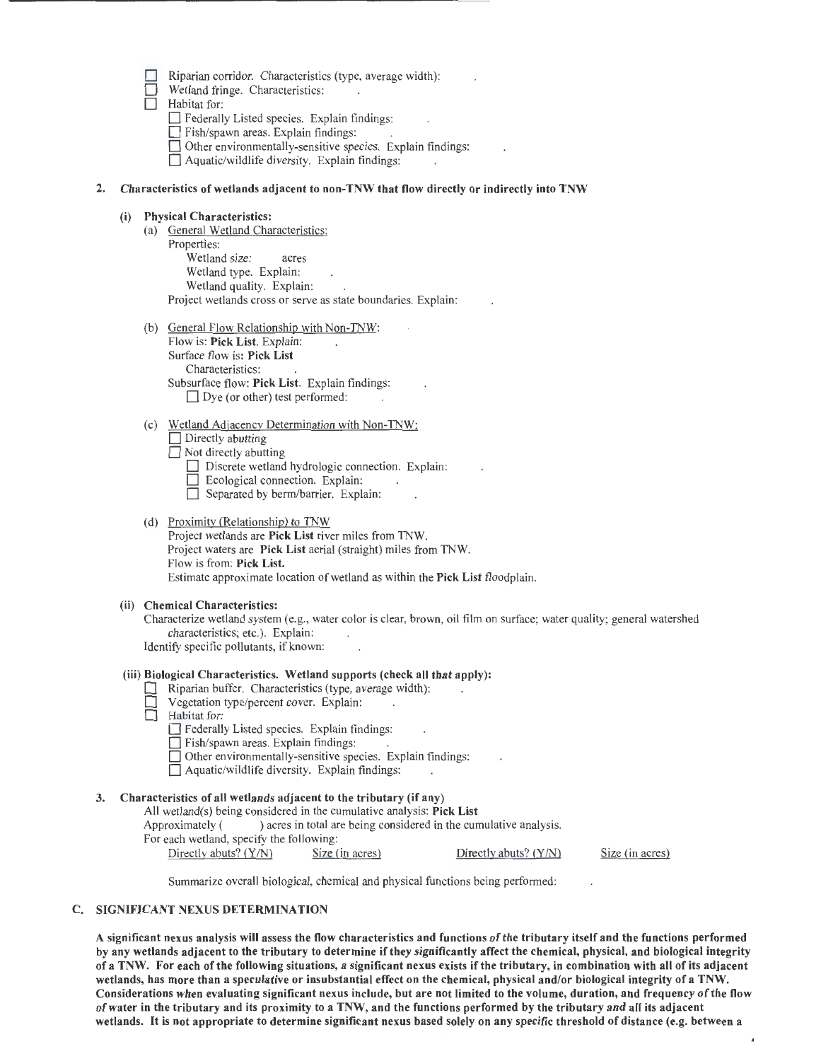| Riparian corridor. Characteristics (type, average width): |  |  |  |
|-----------------------------------------------------------|--|--|--|
|                                                           |  |  |  |

Wetland fringe. Characteristics:

 $\Box$  Habitat for:

 $\Box$  Federally Listed species. Explain findings:

Fish/spawn areas. Explain findings:

 $\Box$  Other environmentally-sensitive species. Explain findings:

 $\Box$  Aquatic/wildlife diversity. Explain findings:

# 2. Characteristics of wetlands adjacent to non-TNW that flow directly or indirectly into TNW

# (i) Physical Characteristics:

- (a) General Wetland Characteristics: Properties: Wetland size: acres Wetland type. Explain: Wetland quality. Explain: Project wetlands cross or serve as state boundaries. Explain:
- (b) General Flow Relationship with Non-TNW: Flow is: Pick List. Explain: Surface flow is: Pick List Characteristics: Subsurface flow: Pick List. Explain findings:  $\Box$  Dye (or other) test performed:
- (c) Wetland Adjacency Determination with Non-TNW:  $\Box$  Directly abutting  $\Box$  Not directly abutting
	- Discrete wetland hydrologic connection. Explain:
	- $\Box$  Ecological connection. Explain:
	- $\Box$  Separated by berm/barrier. Explain:
- (d) Proximity (Relationship) to TNW

Project wetlands are Pick List river miles from TNW. Project waters are Pick List aerial (straight) miles from TNW. Flow is from: Pick List. Estimate approximate location of wetland as within the Pick List floodplain.

# (ii) Chemical Characteristics:

Characterize wetland system (e.g., water color is clear, brown, oil film on surface; water quality; general watershed characteristics; etc.). Explain: Identify specific pollutants, if known:

# (iii) Biological Characteristics. Wetland supports (check all that apply):

- 0 Riparian buffer. Characteristics (type, average width):
- Vegetation type/percent cover. Explain:<br>  $\Box$  Habitat for:
- Habitat for:
	- D Federally Listed species. Explain findings:
	- Fish/spawn areas. Explain findings:
	- Other environmentally-sensitive species. Explain findings:
	- $\Box$  Aquatic/wildlife diversity. Explain findings:

# 3. Characteristics of all wetlands adjacent to the tributary (if any)

All wetland(s) being considered in the cumulative analysis: Pick List Approximately () acres in total are being considered in the cumulative analysis. For each wetland, specify the following:

Directly abuts? (Y/N) Size (in acres) Directly abuts? (Y/N)

Size (in acres)

Summarize overall biological, chemical and physical functions being performed:

# C. SIGNIFICANT NEXUS DETERMINATION

A significant nexus analysis will assess the flow characteristics and functions of the tributary itself and the functions performed by any wetlands adjacent to the tributary to determine if they significantly affect the chemical, physical, and biological integrity of a TNW. For each of the following situations, a significant nexus exists if the tributary, in combination with all of its adjacent wetlands, has more than a speculative or insubstantial effect on the chemical, physical and/or biological integrity of a TNW. Considerations when evaluating significant nexus include, but are not limited to the volume, duration, and frequency of the flow of water in the tributary and its proximity to a TNW, and the functions performed by the tributary and all its adjacent wetlands. It is not appropriate to determine significant nexus based solely on any specific threshold of distance (e.g. between a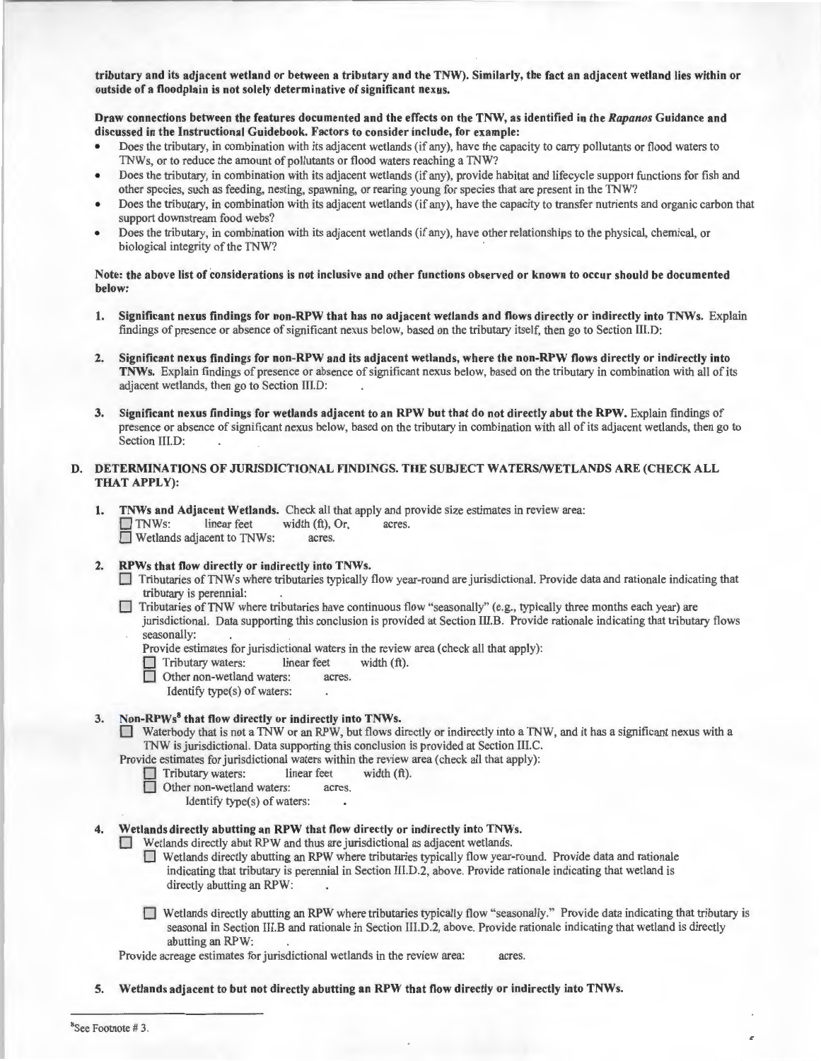tributary and its adjacent wetland or between a tributary and the TNW). Similarly, the fact an adjacent wetland lies within or outside of a floodplain is not solely determinative of significant nexus.

Draw connections between the features documented and the effects on the TNW, as identified in the *Rapanos* Guidance and discussed in the Instructional Guidebook. Factors to consider include, for example:

- Does the tributary, in combination with its adjacent wetlands (if any), have the capacity to carry pollutants or flood waters to TNWs, or to reduce the amount of pollutants or flood waters reaching a TNW?
- Does the tributary, in combination with its adjacent wetlands (if any), provide habitat and lifecycle support functions for fish and other species, such as feeding, nesting, spawning, or rearing young for species that are present in the TNW?
- Does the tributary, in combination with its adjacent wetlands (if any), have the capacity to transfer nutrients and organic carbon that support downstream food webs?
- Does the tributary, in combination with its adjacent wetlands (if any), have other relationships to the physical, chemical, or biological integrity of the TNW?

### Note: the above list of considerations is not inclusive and other functions observed or known to occur should be documented below:

- I. Significant nexus findings for non-RPW that has no adjacent wetlands and flows directly or indirectly into TNWs. Explain findings of presence or absence of significant nexus below, based on the tributary itself, then go to Section lll.D:
- 2. Significant nexus findings for non-RPW and its adjacent wetlands, where the non-RPW flows directly or indirectly into TNWs. Explain findings of presence or absence of significant nexus below, based on the tributary in combination with all of its adjacent wetlands, then go to Section III.D:
- 3. Significant nexus findings for wetlands adjacent to an RPW but that do not directly abut the RPW. Explain findings of presence or absence of significant nexus below, based on the tributary in combination with all of its adjacent wetlands, then go to Section III.D:

## D. DETERMINATIONS OF JURISDICTIONAL FINDINGS. THE SUBJECT WATERS/WETLANDS ARE (CHECK ALL THAT APPLY):

- I. TNWs and Adjacent Wetlands. Check all that apply and provide size estimates in review area: D TNWs: linear feet width (ft), Or, acres. **D** Wetlands adjacent to TNWs: acres.
- 2. RPWs that flow directly or indirectly into TNWs.
	- D Tributaries ofTNWs where tributaries typically flow year-round are jurisdictional. Provide data and rationale indicating that tributary is perennial:
	- D Tributaries ofTNW where tributaries have continuous flow "seasonally" (e.g., typically three months each year) are jurisdictional. Data supporting this conclusion is provided at Section III.B. Provide rationale indicating that tributary flows seasonally:

Provide estimates for jurisdictional waters in the review area (check all that apply):

 $\Box$  Tributary waters: linear feet width  $(ft)$ .

Other non-wetland waters: acres.

Identify type(s) of waters:

### 3. Non-RPWs<sup>8</sup> that flow directly or indirectly into TNWs.

Waterbody that is not a TNW or an RPW, but flows directly or indirectly into a TNW, and it has a significant nexus with a TNW is jurisdictional. Data supporting this conclusion is provided at Section III.C.

Provide estimates for jurisdictional waters within the review area (check all that apply):<br>  $\Box$  Tributary waters: linear feet width (ft).

- D Tributary waters: linear feet width (ft).
- Other non-wetland waters: acres.
	- Identify type(s) of waters:

# 4. Wetlands directly abutting an RPW that flow directly or indirectly into TNWs.

 $\Box$  Wetlands directly abut RPW and thus are jurisdictional as adjacent wetlands.

- D Wetlands directly abutting an RPW where tributaries typically flow year-round. Provide data and rationale indicating that tributary is perennial in Section Ill.D.2, above. Provide rationale indicating that wetland is directly abutting an RPW:
- D Wetlands directly abutting an RPW where tributaries typically flow "seasonally." Provide data indicating that tributary is seasonal in Section III.Band rationale in Section lll.D.2, above. Provide rationale indicating that wetland is directly abutting an RPW:

Provide acreage estimates for jurisdictional wetlands in the review area: acres.

5. Wetlands adjacent to but not directly abutting an RPW that flow directly or indirectly into TNWs.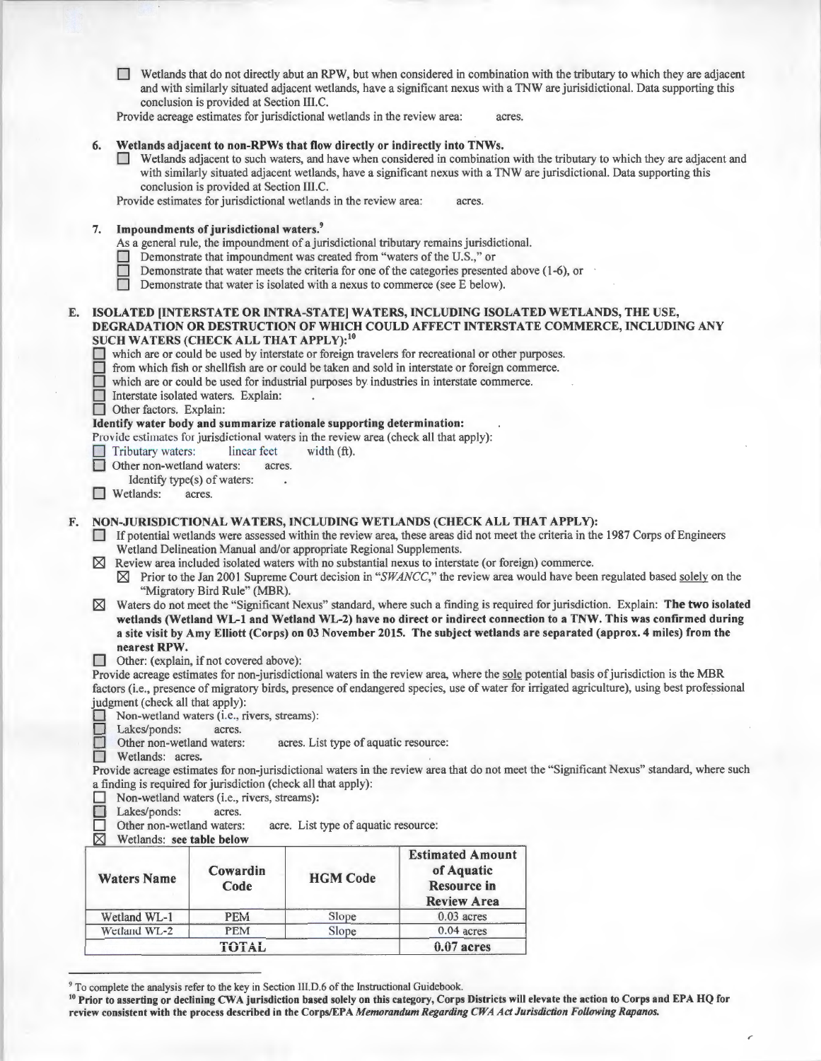D Wetlands that do not directly abut an RPW, but when considered in combination with the tributary to which they are adjacent and with similarly situated adjacent wetlands, have a significant nexus with a TNW are jurisidictional. Data supporting this conclusion is provided at Section III.C.

Provide acreage estimates for jurisdictional wetlands in the review area: acres.

#### 6. Wetlands adjacent to non-RPWs that flow directly or indirectly into TNWs.

D Wetlands adjacent to such waters, and have when considered in combination with the tributary to which they are adjacent and with similarly situated adjacent wetlands, have a significant nexus with a TNW are jurisdictional. Data supporting this conclusion is provided at Section III.C.

Provide estimates for jurisdictional wetlands in the review area: acres.

7. Impoundments of jurisdictional waters.<sup>9</sup>

As a general rule, the impoundment of a jurisdictional tributary remains jurisdictional.

- Demonstrate that impoundment was created from "waters of the U.S.," or
- Demonstrate that water meets the criteria for one of the categories presented above  $(1-6)$ , or
- Demonstrate that water is isolated with a nexus to commerce (see E below).

## E. ISOLATED [INTERSTATE OR INTRA-STATE] WATERS, INCLUDING ISOLA TED WETLANDS, THE USE, DEGRADATION OR DESTRUCTION OF WHICH COULD AFFECT INTERSTATE COMMERCE, INCLUDING ANY SUCH WATERS (CHECK ALL THAT APPLY):<sup>10</sup>

- which are or could be used by interstate or foreign travelers for recreational or other purposes.
- from which fish or shellfish are or could be taken and sold in interstate or foreign commerce.
- which are or could be used for industrial purposes by industries in interstate commerce.
- Interstate isolated waters. Explain:

 $\Box$  Other factors. Explain:

#### Identify water body and summarize rationale supporting determination:

- Provide estimates for jurisdictional waters in the review area (check all that apply):
	- Tributary waters: linear feet width (ft).
	- Other non-wetland waters: acres.
	- Identify type(s) of waters:
- **D** Wetlands: acres.

# F. NON-JURISDICTIONAL WATERS, INCLUDING WETLANDS (CHECK ALL THAT APPLY):

- D If potential wetlands were assessed within the review area, these areas did not meet the criteria in the 1987 Corps of Engineers Wetland Delineation Manual and/or appropriate Regional Supplements.
- Review area included isolated waters with no substantial nexus to interstate (or foreign) commerce.
- C8J Prior to the Jan 2001 Supreme Court decision in *"SWANCC,"* the review area would have been regulated based solely on the "Migratory Bird Rule" (MBR).
- $\boxtimes$  Waters do not meet the "Significant Nexus" standard, where such a finding is required for jurisdiction. Explain: The two isolated wetlands (Wetland WL-1 and Wetland WL-2) have no direct or indirect connection to a TNW. This was confirmed during a site visit by Amy Elliott (Corps) on 03 November 2015. The subject wetlands are separated (approx. 4 miles) from the nearest RPW.
- Other: (explain, if not covered above):

Provide acreage estimates for non-jurisdictional waters in the review area, where the sole potential basis of jurisdiction is the MBR factors (i.e., presence of migratory birds, presence of endangered species, use of water for irrigated agriculture), using best professional judgment (check all that apply):

D Non-wetland waters (i.e., rivers, streams):

Lakes/ponds: acres.

Other non-wetland waters: acres. List type of aquatic resource:

Wetlands: acres.

Provide acreage estimates for non-jurisdictional waters in the review area that do not meet the "Significant Nexus" standard, where such a finding is required for jurisdiction (check all that apply):

- Non-wetland waters (i.e., rivers, streams):<br>Lakes/ponds: acres.
- Lakes/ponds: acres.<br>Other non-wetland waters:
- $\Box$  Other non-wetland waters: acre. List type of aquatic resource:  $\boxtimes$  Wetlands: see table below
- Wetlands: see table below

| <b>Waters Name</b> | Cowardin<br>Code | <b>HGM Code</b> | <b>Estimated Amount</b><br>of Aquatic<br><b>Resource in</b><br><b>Review Area</b> |  |
|--------------------|------------------|-----------------|-----------------------------------------------------------------------------------|--|
| Wetland WL-1       | <b>PEM</b>       | Slope           | $0.03$ acres                                                                      |  |
| Wetland WL-2       | <b>PEM</b>       | Slope           | $0.04$ acres                                                                      |  |
|                    | <b>TOTAL</b>     |                 | $0.07$ acres                                                                      |  |

<sup>&</sup>lt;sup>9</sup> To complete the analysis refer to the key in Section III.D.6 of the Instructional Guidebook.<br><sup>10</sup> Prior to asserting or declining CWA jurisdiction based solely on this category, Corps Districts will elevate the action review consistent with the process described in the Corps/EPA *Memorandum Regarding CWA Act Jurisdiction Following Rapanos.*